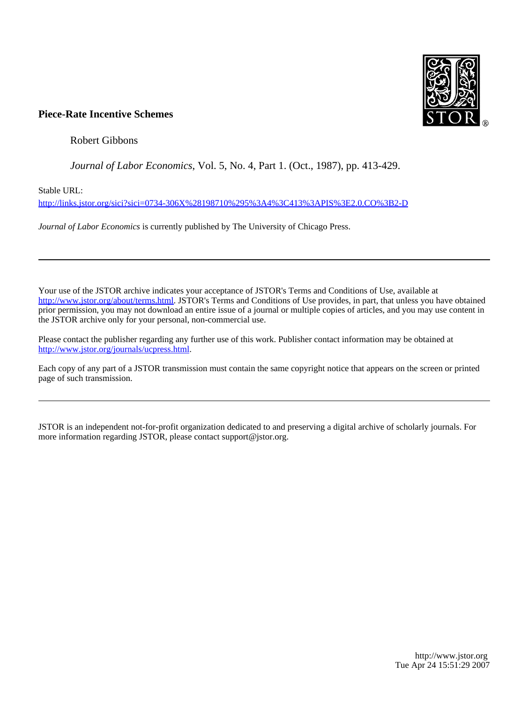

Robert Gibbons

# *Journal of Labor Economics*, Vol. 5, No. 4, Part 1. (Oct., 1987), pp. 413-429.

Stable URL:

<http://links.jstor.org/sici?sici=0734-306X%28198710%295%3A4%3C413%3APIS%3E2.0.CO%3B2-D>

*Journal of Labor Economics* is currently published by The University of Chicago Press.

Your use of the JSTOR archive indicates your acceptance of JSTOR's Terms and Conditions of Use, available at [http://www.jstor.org/about/terms.html.](http://www.jstor.org/about/terms.html) JSTOR's Terms and Conditions of Use provides, in part, that unless you have obtained prior permission, you may not download an entire issue of a journal or multiple copies of articles, and you may use content in the JSTOR archive only for your personal, non-commercial use.

Please contact the publisher regarding any further use of this work. Publisher contact information may be obtained at <http://www.jstor.org/journals/ucpress.html>.

Each copy of any part of a JSTOR transmission must contain the same copyright notice that appears on the screen or printed page of such transmission.

JSTOR is an independent not-for-profit organization dedicated to and preserving a digital archive of scholarly journals. For more information regarding JSTOR, please contact support@jstor.org.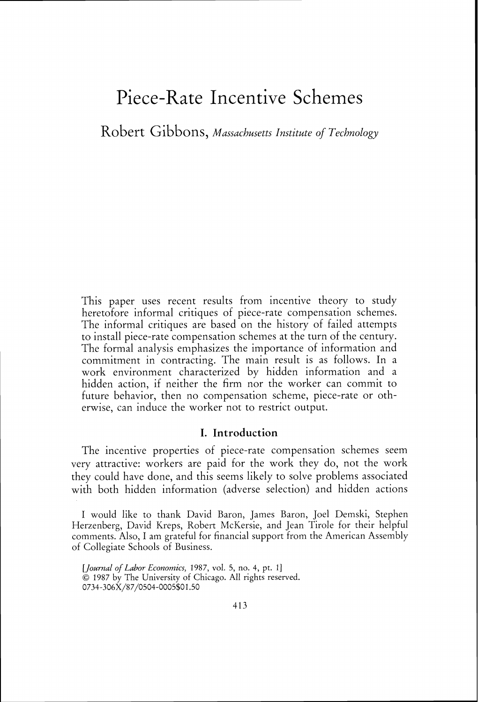Robert Gibbons, *Massachusetts Institute of Technology* 

This paper uses recent results from incentive theory to study heretofore informal critiques of piece-rate compensation schemes. The informal critiques are based on the history of failed attempts to install piece-rate compensation schemes at the turn of the century. The formal analysis emphasizes the importance of information and commitment in contracting. The main result is as follows. In a work environment characterized by hidden information and a hidden action, if neither the firm nor the worker can commit to future behavior, then no compensation scheme, piece-rate or otherwise, can induce the worker not to restrict output.

## I. Introduction

The incentive properties of piece-rate compensation schemes seem very attractive: workers are paid for the work they do, not the work they could have done, and this seems likely to solve problems associated with both hidden information (adverse selection) and hidden actions

I would like to thank David Baron, James Baron, Joel Dernski, Stephen Herzenberg, David Kreps, Robert McKersie, and Jean Tirole for their helpful comments. Also, I am grateful for financial support from the American Assembly of Collegiate Schools of Business.

*<sup>[</sup>Journal of Labor Economics, 1987, vol. 5, no. 4, pt. 1]* 01987 by The University of Chicago. All rights reserved. 0734-306X/87/0504-0005\$01.50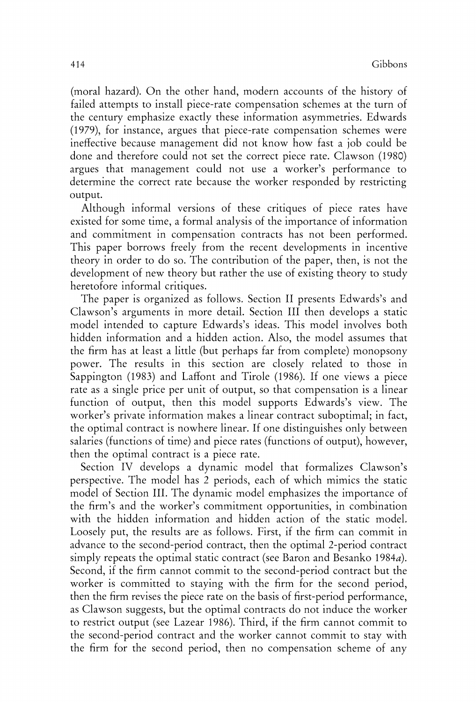(moral hazard). On the other hand, modern accounts of the history of failed attempts to install piece-rate compensation schemes at the turn of the century emphasize exactly these information asymmetries. Edwards (1979), for instance, argues that piece-rate compensation schemes were ineffective because management did not know how fast a job could be done and therefore could not set the correct piece rate. Clawson (1980) argues that management could not use a worker's performance to determine the correct rate because the worker responded by restricting output.

Although informal versions of these critiques of piece rates have existed for some time, a formal analysis of the importance of information and commitment in compensation contracts has not been performed. This paper borrows freely from the recent developments in incentive theory in order to do so. The contribution of the paper, then, is not the development of new theory but rather the use of existing theory to study heretofore informal critiques.

The paper is organized as follows. Section I1 presents Edwards's and Clawson's arguments in more detail. Section 111 then develops a static model intended to capture Edwards's ideas. This model involves both hidden information and a hidden action. Also, the model assumes that the firm has at least a little (but perhaps far from complete) monopsony power. The results in this section are closely related to those in Sappington (1983) and Laffont and Tirole (1986). If one views a piece rate as a single price per unit of output, so that compensation is a linear function of output, then this model supports Edwards's view. The worker's private information makes a linear contract suboptimal; in fact, the optimal contract is nowhere linear. If one distinguishes only between salaries (functions of time) and piece rates (functions of output), however, then the optimal contract is a piece rate.

Section IV develops a dynamic model that formalizes Clawson's perspective. The model has 2 periods, each of which mimics the static model of Section 111. The dynamic model emphasizes the importance of the firm's and the worker's commitment opportunities, in combination with the hidden information and hidden action of the static model. Loosely put, the results are as follows. First, if the firm can commit in advance to the second-period contract, then the optimal 2-period contract simply repeats the optimal static contract (see Baron and Besanko 1984 $a$ ). Second, if the firm cannot commit to the second-period contract but the worker is committed to staying with the firm for the second period, then the firm revises the piece rate on the basis of first-period performance, as Clawson suggests, but the optimal contracts do not induce the worker to restrict output (see Lazear 1986). Third, if the firm cannot commit to the second-period contract and the worker cannot commit to stay with the firm for the second period, then no compensation scheme of any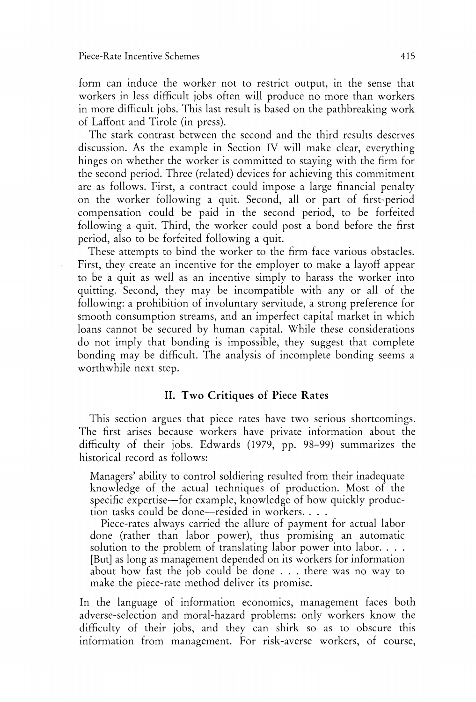form can induce the worker not to restrict output, in the sense that workers in less difficult jobs often will produce no more than workers in more difficult jobs. This last result is based on the pathbreaking work of Laffont and Tirole (in press).

The stark contrast between the second and the third results deserves discussion. As the example in Section IV will make clear, everything hinges on whether the worker is committed to staying with the firm for the second period. Three (related) devices for achieving this commitment are as follows. First, a contract could impose a large financial penalty on the worker following a quit. Second, all or part of first-period compensation could be paid in the second period, to be forfeited following a quit. Third, the worker could post a bond before the first period, also to be forfeited following a quit.

These attempts to bind the worker to the firm face various obstacles. First, they create an incentive for the employer to make a layoff appear to be a quit as well as an incentive simply to harass the worker into quitting. Second, they may be incompatible with any or all of the following: a prohibition of involuntary servitude, a strong preference for smooth consumption streams, and an imperfect capital market in which loans cannot be secured by human capital. While these considerations do not imply that bonding is impossible, they suggest that complete bonding may be difficult. The analysis of incomplete bonding seems a worthwhile next step.

## **11.** Two Critiques of Piece Rates

This section argues that piece rates have two serious shortcomings. The first arises because workers have private information about the difficulty of their jobs. Edwards (1979, pp. 98-99) summarizes the historical record as follows:

Managers' ability to control soldiering resulted from their inadequate knowledge of the actual techniques of production. Most of the specific expertise—for example, knowledge of how quickly production tasks could be done—resided in workers. . . .

Piece-rates always carried the allure of payment for actual labor done (rather than labor power), thus promising an automatic solution to the problem of translating labor power into labor. . . . [But] as long as management depended on its workers for information about how fast the job could be done . . . there was no way to make the piece-rate method deliver its promise.

In the language of information economics, management faces both adverse-selection and moral-hazard problems: only workers know the difficulty of their jobs, and they can shirk so as to obscure this information from management. For risk-averse workers, of course,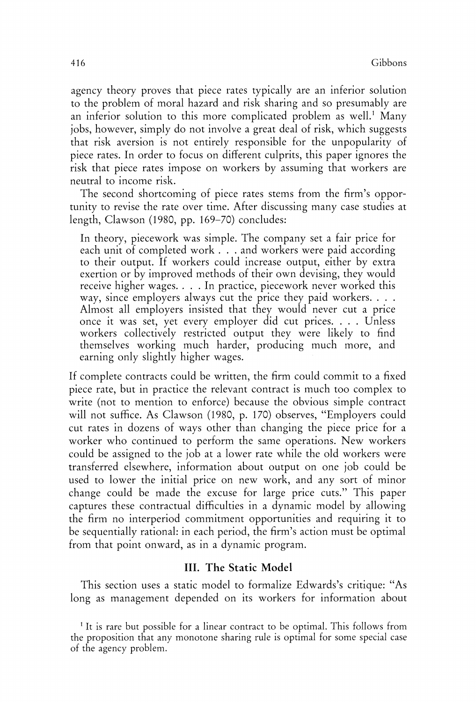agency theory proves that piece rates typically are an inferior solution to the problem of moral hazard and risk sharing and so presumably are an inferior solution to this more complicated problem as well.' Many jobs, however, simply do not involve a great deal of risk, which suggests that risk aversion is not entirely responsible for the unpopularity of piece rates. In order to focus on different culprits, this paper ignores the risk that piece rates impose on workers by assuming that workers are neutral to income risk.

The second shortcoming of piece rates stems from the firm's opportunity to revise the rate over time. After discussing many case studies at length, Clawson (1980, pp. 169-70) concludes:

In theory, piecework was simple. The company set a fair price for each unit of completed work . . . and workers were paid according to their output. If workers could increase output, either by extra exertion or by improved methods of their own devising, they would receive higher wages. . . . In practice, piecework never worked this way, since employers always cut the price they paid workers. . . . Almost all employers insisted that they would never cut a price once it was set, yet every employer did cut prices. . . . Unless workers collectively restricted output they were likely to find themselves working much harder, producing much more, and earning only slightly higher wages.

If complete contracts could be written, the firm could commit to a fixed piece rate, but in practice the relevant contract is much too complex to write (not to mention to enforce) because the obvious simple contract will not suffice. As Clawson (1980, p. 170) observes, "Employers could cut rates in dozens of ways other than changing the piece price for a worker who continued to perform the same operations. New workers could be assigned to the job at a lower rate while the old workers were transferred elsewhere, information about output on one job could be used to lower the initial price on new work, and any sort of minor change could be made the excuse for large price cuts." This paper captures these contractual difficulties in a dynamic model by allowing the firm no interperiod commitment opportunities and requiring it to be sequentially rational: in each period, the firm's action must be optimal from that point onward, as in a dynamic program.

# **111.** The **Static** Model

This section uses a static model to formalize Edwards's critique: "As long as management depended on its workers for information about

<sup>&</sup>lt;sup>1</sup> It is rare but possible for a linear contract to be optimal. This follows from the proposition that any monotone sharing rule is optimal for some special case of the agency problem.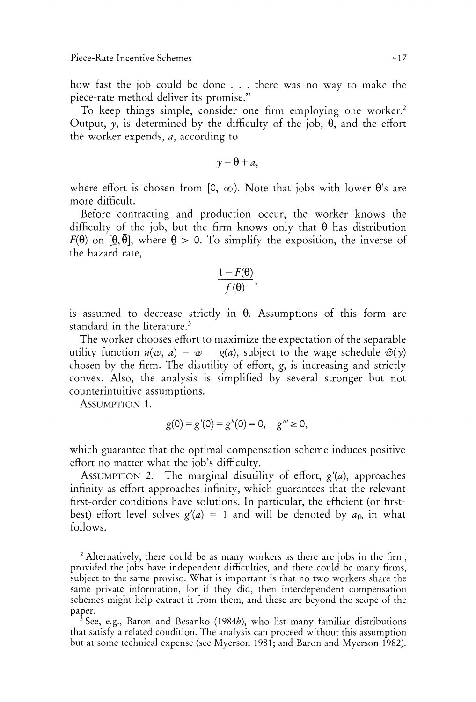how fast the job could be done . . . there was no way to make the piece-rate method deliver its promise."

To keep things simple, consider one firm employing one worker.<sup>2</sup> Output,  $y$ , is determined by the difficulty of the job,  $\theta$ , and the effort the worker expends, a, according to

$$
y = \theta + a,
$$

where effort is chosen from [0,  $\infty$ ). Note that jobs with lower  $\theta$ 's are more difficult.

Before contracting and production occur, the worker knows the difficulty of the job, but the firm knows only that  $\theta$  has distribution  $F(\theta)$  on  $[\theta, \bar{\theta}]$ , where  $\theta > 0$ . To simplify the exposition, the inverse of the hazard rate,

$$
\frac{1-F(\theta)}{f(\theta)},
$$

is assumed to decrease strictly in  $\theta$ . Assumptions of this form are standard in the literature. $3$ 

The worker chooses effort to maximize the expectation of the separable utility function  $u(w, a) = w - g(a)$ , subject to the wage schedule  $\tilde{w}(y)$ chosen by the firm. The disutility of effort, g, is increasing and strictly convex. Also, the analysis is simplified by several stronger but not counterintuitive assumptions.

ASSUMPTION 1.

$$
g(0) = g'(0) = g''(0) = 0, \quad g''' \ge 0,
$$

which guarantee that the optimal compensation scheme induces positive effort no matter what the job's difficulty.

ASSUMPTION 2. The marginal disutility of effort,  $g'(a)$ , approaches infinity as effort approaches infinity, which guarantees that the relevant first-order conditions have solutions. In particular, the efficient (or firstbest) effort level solves  $g'(a) = 1$  and will be denoted by  $a_{\text{fb}}$  in what follows.

<sup>2</sup> Alternatively, there could be as many workers as there are jobs in the firm, provided the jobs have independent difficulties, and there could be many firms, subject to the same proviso. What is important is that no two workers share the same private information, for if they did, then interdependent compensation schemes might help extract it from them, and these are beyond the scope of the paper.

 $^{\rm 3}$  See, e.g., Baron and Besanko (1984b), who list many familiar distributions that satisfy a related condition. The analysis can proceed without this assumption but at some technical expense (see Myerson 1981; and Baron and Myerson 1982).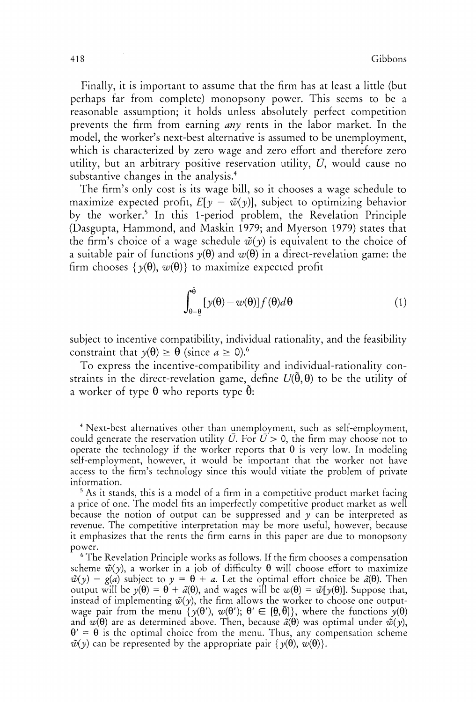Finally, it is important to assume that the firm has at least a little (but perhaps far from complete) monopsony power. This seems to be a reasonable assumption; it holds unless absolutely perfect competition prevents the firm from earning *any* rents in the labor market. In the model, the worker's next-best alternative is assumed to be unemployment, which is characterized by zero wage and zero effort and therefore zero utility, but an arbitrary positive reservation utility, *U,* would cause no substantive changes in the analysis. $4$ 

The firm's only cost is its wage bill, so it chooses a wage schedule to maximize expected profit,  $E[\gamma - \tilde{\psi}(\gamma)]$ , subject to optimizing behavior by the worker.' In this I-period problem, the Revelation Principle (Dasgupta, Hammond, and Maskin 1979; and Myerson 1979) states that the firm's choice of a wage schedule  $\tilde{\psi}(y)$  is equivalent to the choice of a suitable pair of functions  $y(\theta)$  and  $w(\theta)$  in a direct-revelation game: the firm chooses  $\{v(\theta), w(\theta)\}\)$  to maximize expected profit

$$
\int_{\theta=\theta}^{\theta} \left[ y(\theta) - w(\theta) \right] f(\theta) d\theta \tag{1}
$$

subject to incentive compatibility, individual rationality, and the feasibility constraint that  $y(\theta) \ge \theta$  (since  $a \ge 0$ ).<sup>6</sup>

To express the incentive-compatibility and individual-rationality constraints in the direct-revelation game, define  $U(\hat{\theta},\theta)$  to be the utility of a worker of type  $\theta$  who reports type  $\tilde{\theta}$ :

'Next-best alternatives other than unemployment, such as self-employment, could generate the reservation utility  $\bar{U}$ . For  $\bar{U} > 0$ , the firm may choose not to operate the technology if the worker reports that  $\theta$  is very low. In modeling self-employment, however, it would be important that the worker not have access to the firm's technology since this would vitiate the problem of private information.

<sup>5</sup> As it stands, this is a model of a firm in a competitive product market facing a price of one. The model fits an imperfectly competitive product market as well because the notion of output can be suppressed and  $y$  can be interpreted as revenue. The competitive interpretation may be more useful, however, because it emphasizes that the rents the firm earns in this paper are due to monopsony power.

The Revelation Principle works as follows. If the firm chooses a compensation scheme  $\tilde{\psi}(y)$ , a worker in a job of difficulty  $\theta$  will choose effort to maximize  $\tilde{\psi}(y) - g(a)$  subject to  $y = \theta + a$ . Let the optimal effort choice be  $\tilde{a}(\theta)$ . Then output will be  $y(\theta) = \theta + \tilde{a}(\theta)$ , and wages will be  $w(\theta) = \tilde{w}[y(\theta)]$ . Suppose that, instead of implementing  $\tilde{\psi}(y)$ , the firm allows the worker to choose one outputwage pair from the menu  $\{y(\theta), w(\theta'); \theta \in [\underline{\theta}, \overline{\theta}]\}$ , where the functions  $y(\theta)$ and  $w(\theta)$  are as determined above. Then, because  $\tilde{a}(\theta)$  was optimal under  $\tilde{w}(y)$ ,  $\theta' = \theta$  is the optimal choice from the menu. Thus, any compensation scheme  $\tilde{\psi}(\gamma)$  can be represented by the appropriate pair  $\{\gamma(\theta), w(\theta)\}.$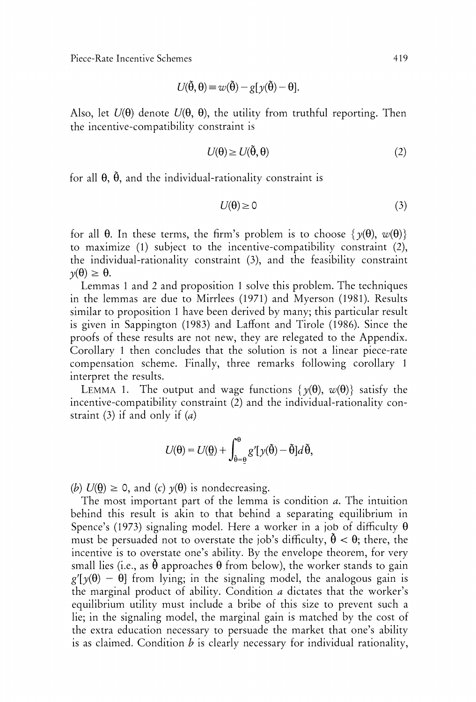$$
U(\tilde{\theta}, \theta) = w(\tilde{\theta}) - g[y(\tilde{\theta}) - \theta].
$$

Also, let  $U(\theta)$  denote  $U(\theta, \theta)$ , the utility from truthful reporting. Then the incentive-compatibility constraint is

$$
U(\theta) \ge U(\tilde{\theta}, \theta) \tag{2}
$$

for all  $\theta$ ,  $\tilde{\theta}$ , and the individual-rationality constraint is

$$
U(\theta) \ge 0 \tag{3}
$$

for all  $\theta$ . In these terms, the firm's problem is to choose  $\{v(\theta), w(\theta)\}\$ to maximize (1) subject to the incentive-compatibility constraint (2), the individual-rationality constraint (3), and the feasibility constraint  $\gamma(\theta) \geq \theta$ .

Lemmas 1 and 2 and proposition 1 solve this problem. The techniques in the lemmas are due to Mirrlees (1971) and Myerson (1981). Results similar to proposition 1 have been derived by many; this particular result is given in Sappington (1983) and Laffont and Tirole (1986). Since the proofs of these results are not new, they are relegated to the Appendix. Corollary 1 then concludes that the solution is not a linear piece-rate compensation scheme. Finally, three remarks following corollary 1 interpret the results.

LEMMA 1. The output and wage functions  $\{y(\theta), w(\theta)\}\$  satisfy the incentive-compatibility constraint (2) and the individual-rationality constraint (3) if and only if *(a)* 

$$
U(\theta) = U(\underline{\theta}) + \int_{\tilde{\theta} = \underline{\theta}}^{\theta} g'[y(\tilde{\theta}) - \tilde{\theta}] d\tilde{\theta},
$$

(b)  $U(\theta) \ge 0$ , and (c)  $\gamma(\theta)$  is nondecreasing.

The most important part of the lemma is condition a. The intuition behind this result is akin to that behind a separating equilibrium in Spence's (1973) signaling model. Here a worker in a job of difficulty  $\theta$ must be persuaded not to overstate the job's difficulty,  $\dot{\theta} < \theta$ ; there, the incentive is to overstate one's ability. By the envelope theorem, for very small lies (i.e., as  $\hat{\theta}$  approaches  $\theta$  from below), the worker stands to gain  $g'[\gamma(\theta) - \theta]$  from lying; in the signaling model, the analogous gain is the marginal product of ability. Condition  $a$  dictates that the worker's equilibrium utility must include a bribe of this size to prevent such a lie; in the signaling model, the marginal gain is matched by the cost of the extra education necessary to persuade the market that one's ability is as claimed. Condition  $b$  is clearly necessary for individual rationality,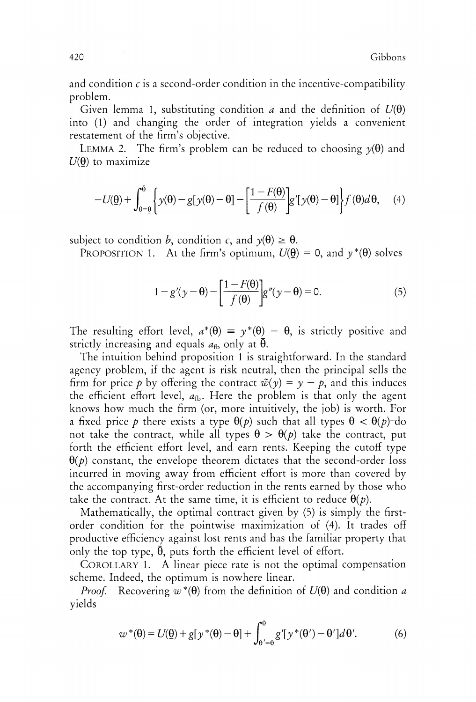and condition  $c$  is a second-order condition in the incentive-compatibility problem.

Given lemma 1, substituting condition a and the definition of  $U(\theta)$ into (1) and changing the order of integration yields a convenient restatement of the firm's objective.

LEMMA 2. The firm's problem can be reduced to choosing  $\gamma(\theta)$  and  $U(\theta)$  to maximize

$$
-U(\underline{\theta}) + \int_{\theta=\underline{\theta}}^{\bar{\theta}} \left\{ y(\theta) - g[y(\theta) - \theta] - \left[ \frac{1 - F(\theta)}{f(\theta)} \right] g'[y(\theta) - \theta] \right\} f(\theta) d\theta, \quad (4)
$$

subject to condition b, condition c, and  $y(\theta) \ge \theta$ .

PROPOSITION 1. At the firm's optimum,  $U(\theta) = 0$ , and  $\gamma^*(\theta)$  solves

$$
1 - g'(y - \theta) - \left[\frac{1 - F(\theta)}{f(\theta)}\right]g''(y - \theta) = 0.
$$
 (5)

The resulting effort level,  $a^*(\theta) = \gamma^*(\theta) - \theta$ , is strictly positive and strictly increasing and equals  $a_{\text{fb}}$  only at  $\bar{\theta}$ .

The intuition behind proposition I is straightforward. In the standard agency problem, if the agent is risk neutral, then the principal sells the firm for price p by offering the contract  $\tilde{\psi}(\gamma) = \gamma - p$ , and this induces the efficient effort level,  $a_{fb}$ . Here the problem is that only the agent knows how much the firm (or, more intuitively, the job) is worth. For a fixed price p there exists a type  $\theta(p)$  such that all types  $\theta < \theta(p)$  do not take the contract, while all types  $\theta > \theta(p)$  take the contract, put forth the efficient effort level, and earn rents. Keeping the cutoff type  $\theta(p)$  constant, the envelope theorem dictates that the second-order loss incurred in moving away from efficient effort is more than covered by the accompanying first-order reduction in the rents earned by those who take the contract. At the same time, it is efficient to reduce  $\theta(p)$ .

Mathematically, the optimal contract given by (5) is simply the firstorder condition for the pointwise maximization of (4). It trades off productive efficiency against lost rents and has the familiar property that only the top type,  $\bar{\theta}$ , puts forth the efficient level of effort.

COROLLARY 1. A linear piece rate is not the optimal compensation scheme. Indeed, the optimum is nowhere linear.

*Proof.* Recovering  $w^*(\theta)$  from the definition of  $U(\theta)$  and condition a vields

$$
w^*(\theta) = U(\underline{\theta}) + g[y^*(\theta) - \theta] + \int_{\theta' = \underline{\theta}}^{\theta} g'[y^*(\theta') - \theta'] d\theta'. \tag{6}
$$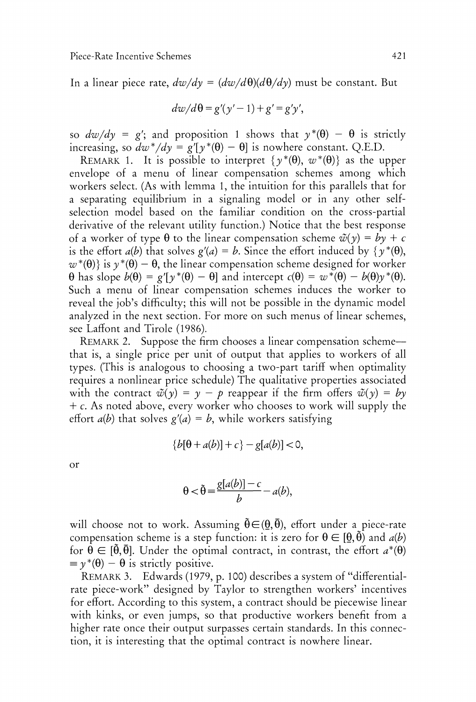In a linear piece rate,  $dw/dy = (dw/d\theta)(d\theta/dy)$  must be constant. But

$$
dw/d\theta = g'(y'-1) + g' = g'y',
$$

so  $dw/dy = g'$ ; and proposition 1 shows that  $y^*(\theta) - \theta$  is strictly increasing, so  $dw^*/dy = g'[\gamma^*(\theta) - \theta]$  is nowhere constant. Q.E.D.

REMARK 1. It is possible to interpret  $\{y^*(\theta), w^*(\theta)\}\$ as the upper envelope of a menu of linear compensation schemes among which workers select. (As with lemma 1, the intuition for this parallels that for a separating equilibrium in a signaling model or in any other selfselection model based on the familiar condition on the cross-partial derivative of the relevant utility function.) Notice that the best response of a worker of type  $\theta$  to the linear compensation scheme  $\tilde{\psi}(\gamma) = b\gamma + c$ is the effort  $a(b)$  that solves  $g'(a) = b$ . Since the effort induced by  $\{ \gamma^*(\theta), \gamma^*(\theta)\}$  $w^*(\theta)$  is  $\gamma^*(\theta) - \theta$ , the linear compensation scheme designed for worker  $\theta$  has slope  $b(\theta) = g'[\gamma^*(\theta) - \theta]$  and intercept  $c(\theta) = w^*(\theta) - b(\theta)\gamma^*(\theta)$ . Such a menu of linear compensation schemes induces the worker to reveal the job's difficulty; this will not be possible in the dynamic model analyzed in the next section. For more on such menus of linear schemes, see Laffont and Tirole (1986).

REMARK 2. Suppose the firm chooses a linear compensation schemethat is, a single price per unit of output that applies to workers of all types. (This is analogous to choosing a two-part tariff when optimality requires a nonlinear price schedule) The qualitative properties associated with the contract  $\tilde{\psi}(y) = y - p$  reappear if the firm offers  $\tilde{\psi}(y) = b\gamma$ + c. As noted above, every worker who chooses to work will supply the effort  $a(b)$  that solves  $g'(a) = b$ , while workers satisfying

$$
\{b[\theta + a(b)] + c\} - g[a(b)] < 0,
$$

or

$$
\theta < \tilde{\theta} = \frac{g[a(b)] - c}{b} - a(b),
$$

will choose not to work. Assuming  $\tilde{\theta} \in (\theta, \bar{\theta})$ , effort under a piece-rate compensation scheme is a step function: it is zero for  $\theta \in [\theta, \tilde{\theta})$  and  $a(b)$ for  $\theta \in [\tilde{\theta}, \bar{\theta}]$ . Under the optimal contract, in contrast, the effort  $a^*(\theta)$  =  $y^*(\theta) - \theta$  is strictly positive.

REMARK3. Edwards (1979, p. 100) describes a system of "differentialrate piece-work" designed by Taylor to strengthen workers' incentives for effort. According to this system, a contract should be piecewise linear with kinks, or even jumps, so that productive workers benefit from a higher rate once their output surpasses certain standards. In this connection, it is interesting that the optimal contract is nowhere linear.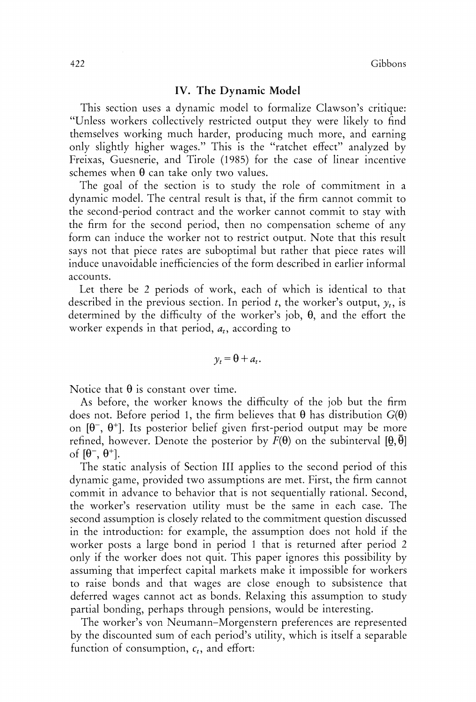## **IV.** The Dynamic **Model**

This section uses a dynamic model to formalize Clawson's critique: "Unless workers collectively restricted output they were likely to find themselves working much harder, producing much more, and earning only slightly higher wages." This is the "ratchet effect" analyzed by Freixas, Guesnerie, and Tirole (1985) for the case of linear incentive schemes when  $\theta$  can take only two values.

The goal of the section is to study the role of commitment in a dynamic model. The central result is that, if the firm cannot commit to the second-period contract and the worker cannot commit to stay with the firm for the second period, then no compensation scheme of any form can induce the worker not to restrict output. Note that this result says not that piece rates are suboptimal but rather that piece rates will induce unavoidable inefficiencies of the form described in earlier informal accounts.

Let there be 2 periods of work, each of which is identical to that described in the previous section. In period *t*, the worker's output,  $y_t$ , is determined by the difficulty of the worker's job,  $\theta$ , and the effort the worker expends in that period,  $a_t$ , according to

$$
y_t = \theta + a_t.
$$

Notice that  $\theta$  is constant over time.

As before, the worker knows the difficulty of the job but the firm does not. Before period 1, the firm believes that  $\theta$  has distribution  $G(\theta)$ on  $[\theta^-, \theta^+]$ . Its posterior belief given first-period output may be more refined, however. Denote the posterior by  $F(\theta)$  on the subinterval  $[\theta, \bar{\theta}]$ of  $[\theta^-, \theta^+]$ .

The static analysis of Section I11 applies to the second period of this dynamic game, provided two assumptions are met. First, the firm cannot commit in advance to behavior that is not sequentially rational. Second, the worker's reservation utility must be the same in each case. The second assumption is closely related to the commitment question discussed in the introduction: for example, the assumption does not hold if the worker posts a large bond in period 1 that is returned after period *2*  only if the worker does not quit. This paper ignores this possibility by assuming that imperfect capital markets make it impossible for workers to raise bonds and that wages are close enough to subsistence that deferred wages cannot act as bonds. Relaxing this assumption to study partial bonding, perhaps through pensions, would be interesting.

The worker's von Neumann-Morgenstern preferences are represented by the discounted sum of each period's utility, which is itself a separable function of consumption,  $c_t$ , and effort: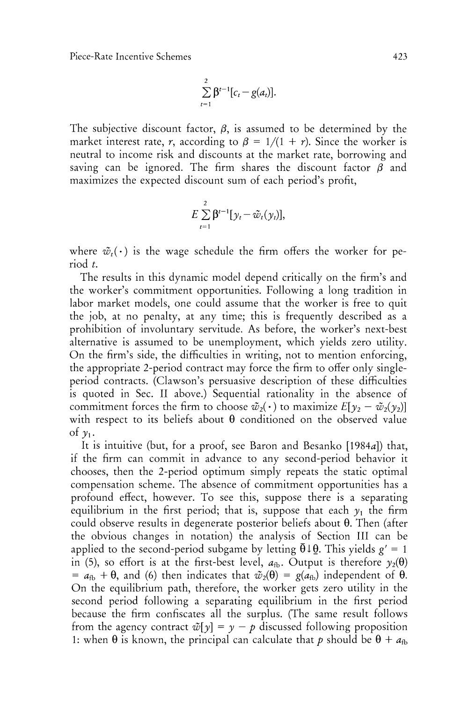$$
\sum_{t=1}^2 \beta^{t-1} [c_t - g(a_t)].
$$

The subjective discount factor,  $\beta$ , is assumed to be determined by the market interest rate, r, according to  $\beta = 1/(1 + r)$ . Since the worker is neutral to income risk and discounts at the market rate, borrowing and saving can be ignored. The firm shares the discount factor  $\beta$  and maximizes the expected discount sum of each period's profit,

$$
E\sum_{t=1}^2\beta^{t-1}[\mathbf{y}_t-\tilde{\mathbf{w}}_t(\mathbf{y}_t)],
$$

where  $\tilde{w}_t(\cdot)$  is the wage schedule the firm offers the worker for period *t.* 

The results in this dynamic model depend critically on the firm's and the worker's commitment opportunities. Following a long tradition in labor market models, one could assume that the worker is free to quit the job, at no penalty, at any time; this is frequently described as a prohibition of involuntary servitude. As before, the worker's next-best alternative is assumed to be unemployment, which yields zero utility. On the firm's side, the difficulties in writing, not to mention enforcing, the appropriate 2-period contract may force the firm to offer only singleperiod contracts. (Clawson's persuasive description of these difficulties is quoted in Sec. I1 above.) Sequential rationality in the absence of commitment forces the firm to choose  $\tilde{w}_2(\cdot)$  to maximize  $E[y_2 - \tilde{w}_2(y_2)]$ with respect to its beliefs about  $\theta$  conditioned on the observed value of  $\nu_1$ .

It is intuitive (but, for a proof, see Baron and Besanko [1984a]) that, if the firm can commit in advance to any second-period behavior it chooses, then the 2-period optimum simply repeats the static optimal cornpensation scheme. The absence of commitment opportunities has a profound effect, however. To see this, suppose there is a separating equilibrium in the first period; that is, suppose that each  $y_1$  the firm could observe results in degenerate posterior beliefs about  $\theta$ . Then (after the obvious changes in notation) the analysis of Section 111 can be applied to the second-period subgame by letting  $\bar{\theta} \downarrow \theta$ . This yields  $g' = 1$ in (5), so effort is at the first-best level,  $a_{\text{fb}}$ . Output is therefore  $\gamma_2(\theta)$ =  $a_{fb}$  +  $\theta$ , and (6) then indicates that  $\tilde{w}_2(\theta) = g(a_{fb})$  independent of  $\theta$ . On the equilibrium path, therefore, the worker gets zero utility in the second period following a separating equilibrium in the first period because the firm confiscates all the surplus. (The same result follows from the agency contract  $\tilde{\psi}[\gamma] = \gamma - p$  discussed following proposition 1: when  $\theta$  is known, the principal can calculate that p should be  $\theta + a_{\text{fb}}$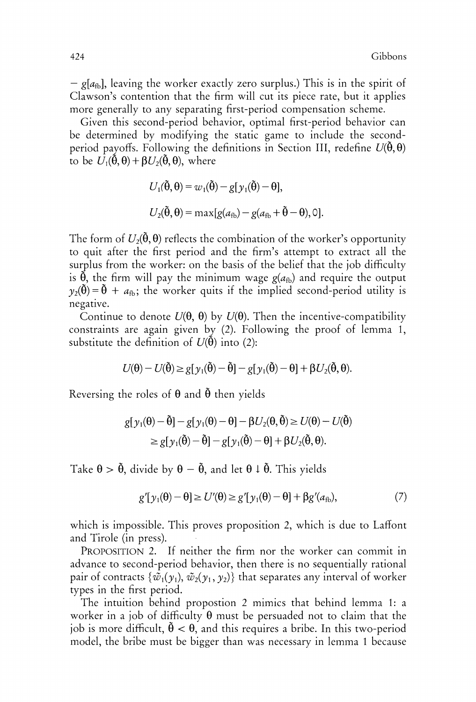$-g[a_{fb}]$ , leaving the worker exactly zero surplus.) This is in the spirit of Clawson's contention that the firm will cut its piece rate, but it applies more generally to any separating first-period compensation scheme.

Given this second-period behavior, optimal first-period behavior can be determined by modifying the static game to include the secondperiod payoffs. Following the definitions in Section III, redefine  $U(\tilde{\theta},\theta)$ to be  $U_1(\tilde{\theta}, \theta) + \beta U_2(\tilde{\theta}, \theta)$ , where

$$
U_1(\tilde{\theta}, \theta) = w_1(\tilde{\theta}) - g[y_1(\tilde{\theta}) - \theta],
$$
  

$$
U_2(\tilde{\theta}, \theta) = \max[g(a_{fb}) - g(a_{fb} + \tilde{\theta} - \theta), 0].
$$

The form of  $U_2(\tilde{\theta}, \theta)$  reflects the combination of the worker's opportunity to quit after the first period and the firm's attempt to extract all the surplus from the worker: on the basis of the belief that the job difficulty is  $\tilde{\theta}$ , the firm will pay the minimum wage  $g(a_{fb})$  and require the output  $y_2(\tilde{\theta}) = \tilde{\theta} + a_{\text{fb}}$ ; the worker quits if the implied second-period utility is negative.

Continue to denote  $U(\theta, \theta)$  by  $U(\theta)$ . Then the incentive-compatibility constraints are again given by (2). Following the proof of lemma 1, substitute the definition of  $U(\tilde{\theta})$  into (2):

$$
U(\theta) - U(\tilde{\theta}) \ge g[\gamma_1(\tilde{\theta}) - \tilde{\theta}] - g[\gamma_1(\tilde{\theta}) - \theta] + \beta U_2(\tilde{\theta}, \theta).
$$

Reversing the roles of  $\theta$  and  $\tilde{\theta}$  then yields

$$
g[y_1(\theta) - \tilde{\theta}] - g[y_1(\theta) - \theta] - \beta U_2(\theta, \tilde{\theta}) \ge U(\theta) - U(\tilde{\theta})
$$
  
\n
$$
\ge g[y_1(\tilde{\theta}) - \tilde{\theta}] - g[y_1(\tilde{\theta}) - \theta] + \beta U_2(\tilde{\theta}, \theta).
$$

Take  $\theta > \tilde{\theta}$ , divide by  $\theta - \tilde{\theta}$ , and let  $\theta \downarrow \tilde{\theta}$ . This yields

$$
g'[y_1(\theta) - \theta] \ge U'(\theta) \ge g'[y_1(\theta) - \theta] + \beta g'(a_{\text{fb}}), \tag{7}
$$

which is impossible. This proves proposition 2, which is due to Laffont and Tirole (in press).

PROPOSITION 2. If neither the firm nor the worker can commit in advance to second-period behavior, then there is no sequentially rational pair of contracts  $\{\tilde{w}_1(\gamma_1), \tilde{w}_2(\gamma_1, \gamma_2)\}\$  that separates any interval of worker types in the first period.

The intuition behind propostion 2 mimics that behind lemma I: a worker in a job of difficulty  $\theta$  must be persuaded not to claim that the job is more difficult,  $\tilde{\theta} < \theta$ , and this requires a bribe. In this two-period model, the bribe must be bigger than was necessary in lemma 1 because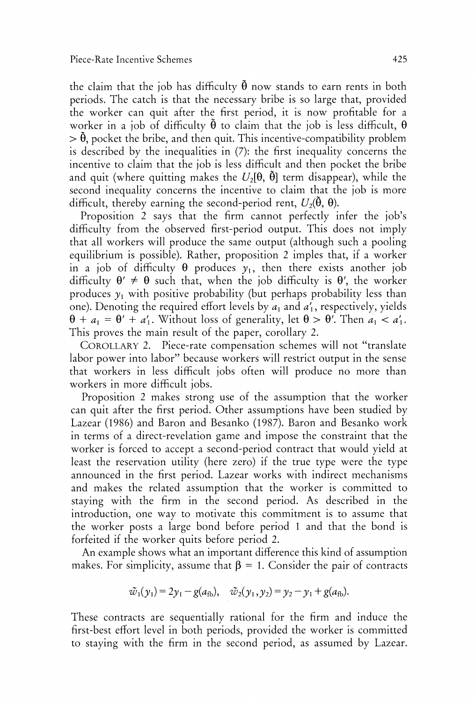the claim that the job has difficulty  $\ddot{\theta}$  now stands to earn rents in both periods. The catch is that the necessary bribe is so large that, provided the worker can quit after the first period, it is now profitable for a worker in a job of difficulty  $\ddot{\theta}$  to claim that the job is less difficult,  $\theta$  $> \tilde{\theta}$ , pocket the bribe, and then quit. This incentive-compatibility problem is described by the inequalities in (7): the first inequality concerns the incentive to claim that the job is less difficult and then pocket the bribe and quit (where quitting makes the  $U_2[\theta, \tilde{\theta}]$  term disappear), while the second inequality concerns the incentive to claim that the job is more difficult, thereby earning the second-period rent,  $U_2(\theta, \theta)$ .

Proposition *2* says that the firm cannot perfectly infer the job's difficulty from the observed first-period output. This does not imply that all workers will produce the same output (although such a pooling equilibrium is possible). Rather, proposition *2* imples that, if a worker in a job of difficulty  $\theta$  produces  $y_1$ , then there exists another job difficulty  $\theta' \neq \theta$  such that, when the job difficulty is  $\theta'$ , the worker produces  $y_1$  with positive probability (but perhaps probability less than one). Denoting the required effort levels by  $a_1$  and  $a'_1$ , respectively, yields  $\theta + a_1 = \theta' + a'_1$ . Without loss of generality, let  $\theta > \theta'$ . Then  $a_1 < a'_1$ . This proves the main result of the paper, corollary 2.

COROLLARY2. Piece-rate compensation schemes will not "translate labor power into labor" because workers will restrict output in the sense that workers in less difficult jobs often will produce no more than workers in more difficult jobs.

Proposition 2 makes strong use of the assumption that the worker can quit after the first period. Other assumptions have been studied by Lazear (1986) and Baron and Besanko (1987). Baron and Besanko work in terms of a direct-revelation game and impose the constraint that the worker is forced to accept a second-period contract that would yield at least the reservation utility (here zero) if the true type were the type announced in the first period. Lazear works with indirect mechanisms and makes the related assumption that the worker is committed to staying with the firm in the second period. As described in the introduction, one way to motivate this commitment is to assume that the worker posts a large bond before period 1 and that the bond is forfeited if the worker quits before period 2.

An example shows what an important difference this kind of assumption makes. For simplicity, assume that  $\beta = 1$ . Consider the pair of contracts

$$
\tilde{w}_1(y_1) = 2y_1 - g(a_{fb}), \quad \tilde{w}_2(y_1, y_2) = y_2 - y_1 + g(a_{fb}).
$$

These contracts are sequentially rational for the firm and induce the first-best effort level in both periods, provided the worker is committed to staying with the firm in the second period, as assumed by Lazear.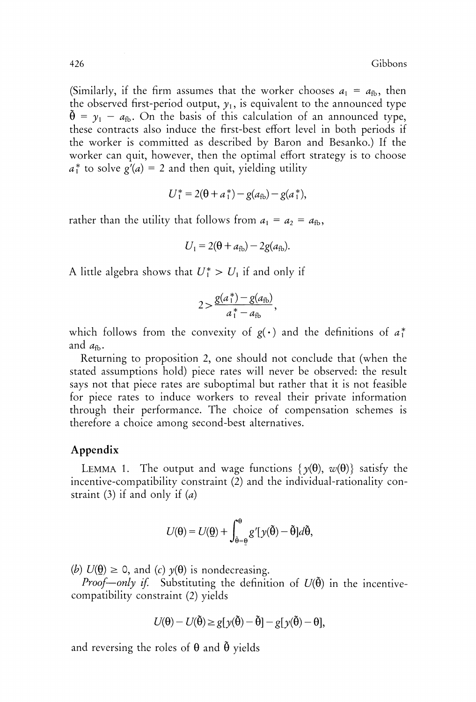(Similarly, if the firm assumes that the worker chooses  $a_1 = a_{fb}$ , then the observed first-period output,  $y_1$ , is equivalent to the announced type  $\tilde{\theta} = y_1 - a_{\text{fb}}$ . On the basis of this calculation of an announced type, these contracts also induce the first-best effort level in both periods if the worker is committed as described by Baron and Besanko.) If the worker can quit, however, then the optimal effort strategy is to choose  $a_1^*$  to solve  $g'(a) = 2$  and then quit, yielding utility

$$
U_1^* = 2(\theta + a_1^*) - g(a_{\text{fb}}) - g(a_1^*),
$$

rather than the utility that follows from  $a_1 = a_2 = a_{fb}$ ,

$$
U_1 = 2(\theta + a_{\text{fb}}) - 2g(a_{\text{fb}}).
$$

A little algebra shows that  $U_1^* > U_1$  if and only if

$$
2 > \frac{g(a_1^*) - g(a_{\text{fb}})}{a_1^* - a_{\text{fb}}}
$$

which follows from the convexity of  $g(\cdot)$  and the definitions of  $a^*$ and  $a_{\text{th}}$ .

Returning to proposition 2, one should not conclude that (when the stated assumptions hold) piece rates will never be observed: the result says not that piece rates are suboptimal but rather that it is not feasible for piece rates to induce workers to reveal their private information through their performance. The choice of compensation schemes is therefore a choice among second-best alternatives.

## **Appendix**

LEMMA 1. The output and wage functions  $\{y(\theta), w(\theta)\}\$  satisfy the incentive-compatibility constraint (2) and the individual-rationality constraint (3) if and only if  $(a)$ 

$$
U(\theta) = U(\underline{\theta}) + \int_{\tilde{\theta} = \underline{\theta}}^{\theta} g'[y(\tilde{\theta}) - \tilde{\theta}] d\tilde{\theta},
$$

(b)  $U(\theta) \ge 0$ , and (c)  $\gamma(\theta)$  is nondecreasing.

*Proof-only if.* Substituting the definition of  $U(\tilde{\theta})$  in the incentivecompatibility constraint (2) yields

$$
U(\theta) - U(\tilde{\theta}) \ge g[y(\tilde{\theta}) - \tilde{\theta}] - g[y(\tilde{\theta}) - \theta],
$$

and reversing the roles of  $\theta$  and  $\tilde{\theta}$  yields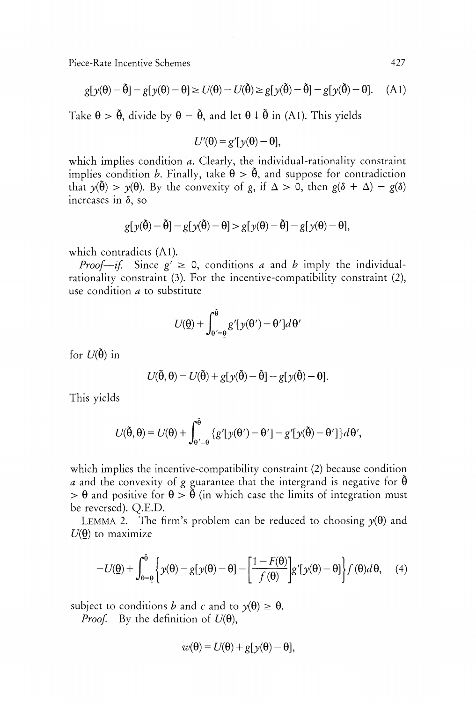$$
g[y(\theta) - \tilde{\theta}] - g[y(\theta) - \theta] \ge U(\theta) - U(\tilde{\theta}) \ge g[y(\tilde{\theta}) - \tilde{\theta}] - g[y(\tilde{\theta}) - \theta]. \tag{A1}
$$

Take  $\theta > \tilde{\theta}$ , divide by  $\theta - \tilde{\theta}$ , and let  $\theta \downarrow \tilde{\theta}$  in (A1). This yields

$$
U'(\theta) = g'[y(\theta) - \theta],
$$

which implies condition *a*. Clearly, the individual-rationality constraint implies condition *b*. Finally, take  $\theta > \tilde{\theta}$ , and suppose for contradiction that  $y(\tilde{\theta}) > y(\theta)$ . By the convexity of g, if  $\Delta > 0$ , then  $g(\delta + \Delta) - g(\delta)$ increases in  $\delta$ , so

$$
g[y(\tilde{\theta}) - \tilde{\theta}] - g[y(\tilde{\theta}) - \theta] > g[y(\theta) - \tilde{\theta}] - g[y(\theta) - \theta],
$$

which contradicts (A1).

*Proof—if.* Since  $g' \ge 0$ , conditions a and b imply the individualrationality constraint (3). For the incentive-compatibility constraint (2), use condition a to substitute

$$
U(\underline{\theta}) + \int_{\theta' = \underline{\theta}}^{\tilde{\theta}} g'[y(\theta') - \theta'] d\theta'
$$

for  $U(\tilde{\theta})$  in

$$
U(\tilde{\theta},\theta) = U(\tilde{\theta}) + g[y(\tilde{\theta}) - \tilde{\theta}] - g[y(\tilde{\theta}) - \theta].
$$

This yields

$$
U(\tilde{\theta},\theta) = U(\theta) + \int_{\theta'=\theta}^{\tilde{\theta}} \left\{ g'[y(\theta') - \theta'] - g'[y(\tilde{\theta}) - \theta'] \right\} d\theta',
$$

which implies the incentive-compatibility constraint (2) because condition *a* and the convexity of g guarantee that the intergrand is negative for  $\tilde{\theta}$  $> \theta$  and positive for  $\theta > \tilde{\theta}$  (in which case the limits of integration must be reversed). Q.E.D.

LEMMA 2. The firm's problem can be reduced to choosing  $y(\theta)$  and  $U(\theta)$  to maximize

$$
-U(\underline{\theta}) + \int_{\theta=\underline{\theta}}^{\overline{\theta}} \left\{ y(\theta) - g[y(\theta) - \theta] - \left[ \frac{1 - F(\theta)}{f(\theta)} \right] g'[y(\theta) - \theta] \right\} f(\theta) d\theta, \quad (4)
$$

subject to conditions *b* and *c* and to  $y(\theta) \ge \theta$ .

*Proof.* By the definition of  $U(\theta)$ ,

$$
w(\theta) = U(\theta) + g[y(\theta) - \theta],
$$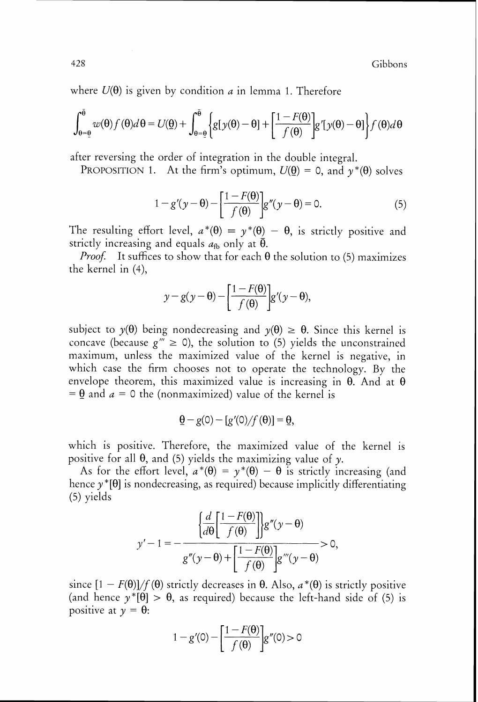where  $U(\theta)$  is given by condition a in lemma 1. Therefore

$$
\int_{\theta=\underline{\theta}}^{\overline{\theta}} w(\theta) f(\theta) d\theta = U(\underline{\theta}) + \int_{\theta=\underline{\theta}}^{\overline{\theta}} \left\{ g[y(\theta) - \theta] + \left[ \frac{1 - F(\theta)}{f(\theta)} \right] g'[y(\theta) - \theta] \right\} f(\theta) d\theta
$$

after reversing the order of integration in the double integral.

PROPOSITION 1. At the firm's optimum,  $U(\theta) = 0$ , and  $\gamma^*(\theta)$  solves

$$
1 - g'(y - \theta) - \left[\frac{1 - F(\theta)}{f(\theta)}\right]g''(y - \theta) = 0.
$$
 (5)

The resulting effort level,  $a^*(\theta) = y^*(\theta) - \theta$ , is strictly positive and strictly increasing and equals  $a_{\text{fb}}$  only at  $\overline{\theta}$ .

*Proof.* It suffices to show that for each  $\theta$  the solution to (5) maximizes the kernel in (4),

$$
y - g(y - \theta) - \left[\frac{1 - F(\theta)}{f(\theta)}\right]g' (y - \theta),
$$

subject to  $y(\theta)$  being nondecreasing and  $y(\theta) \ge \theta$ . Since this kernel is concave (because  $g^m \ge 0$ ), the solution to (5) yields the unconstrained maximum, unless the maximized value of the kernel is negative, in which case the firm chooses not to operate the technology. By the envelope theorem, this maximized value is increasing in  $\theta$ . And at  $\theta$ =  $\theta$  and  $a = 0$  the (nonmaximized) value of the kernel is

$$
\underline{\theta} - g(0) - [g'(0)/f(\theta)] = \underline{\theta},
$$

which is positive. Therefore, the maximized value of the kernel is positive for all  $\theta$ , and (5) yields the maximizing value of y.

As for the effort level,  $a^*(\theta) = y^*(\theta) - \theta$  is strictly increasing (and hence  $y^*[\theta]$  is nondecreasing, as required) because implicitly differentiating (5) yields

$$
y'-1=-\frac{\left\{\frac{d}{d\theta}\left[\frac{1-F(\theta)}{f(\theta)}\right]\right\}g''(y-\theta)}{g''(y-\theta)+\left[\frac{1-F(\theta)}{f(\theta)}\right]g'''(y-\theta)}>0,
$$

since  $[1 - F(\theta)]/f(\theta)$  strictly decreases in  $\theta$ . Also,  $a^*(\theta)$  is strictly positive (and hence  $v^*[\theta] > \theta$ , as required) because the left-hand side of (5) is positive at  $y = \theta$ :

$$
1 - g'(0) - \left[\frac{1 - F(\theta)}{f(\theta)}\right]g''(0) > 0
$$